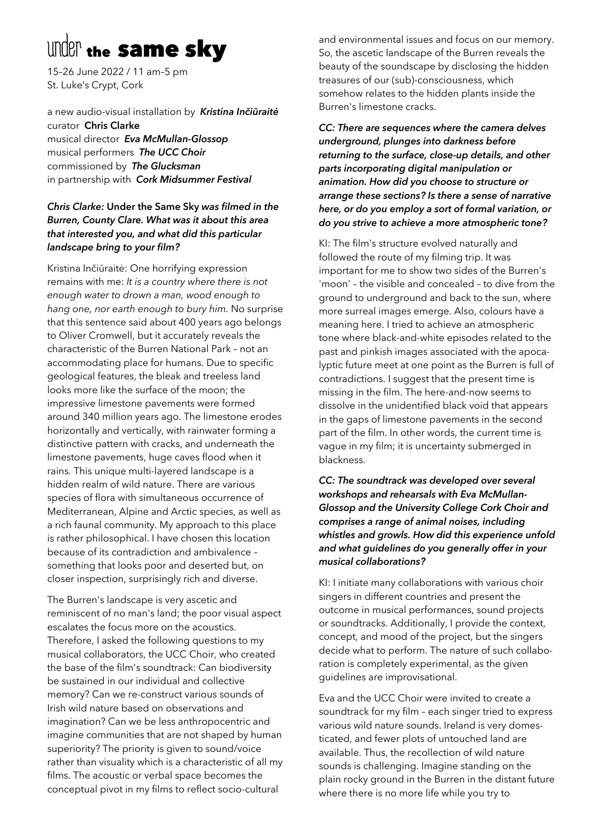# under the same sky

15–26 June 2022 / 11 am–5 pm St. Luke's Crypt, Cork

a new audio-visual installation by *Kristina Inčiūraitė* curator**Chris Clarke** musical director *Eva McMullan-Glossop*

musical performers *The UCC Choir* commissioned by *The Glucksman* in partnership with *Cork Midsummer Festival*

# *Chris Clarke:* **Under the Same Sky** *was filmed in the Burren, County Clare. What was it about this area that interested you, and what did this particular landscape bring to your film?*

Kristina Inčiūraitė: One horrifying expression remains with me: *It is a country where there is not enough water to drown a man, wood enough to hang one, nor earth enough to bury him.* No surprise that this sentence said about 400 years ago belongs to Oliver Cromwell, but it accurately reveals the characteristic of the Burren National Park – not an accommodating place for humans. Due to specific geological features, the bleak and treeless land looks more like the surface of the moon; the impressive limestone pavements were formed around 340 million years ago. The limestone erodes horizontally and vertically, with rainwater forming a distinctive pattern with cracks, and underneath the limestone pavements, huge caves flood when it rains*.* This unique multi-layered landscape is a hidden realm of wild nature. There are various species of flora with simultaneous occurrence of Mediterranean, Alpine and Arctic species, as well as a rich faunal community. My approach to this place is rather philosophical. I have chosen this location because of its contradiction and ambivalence – something that looks poor and deserted but, on closer inspection, surprisingly rich and diverse.

The Burren's landscape is very ascetic and reminiscent of no man's land; the poor visual aspect escalates the focus more on the acoustics. Therefore, I asked the following questions to my musical collaborators, the UCC Choir, who created the base of the film's soundtrack: Can biodiversity be sustained in our individual and collective memory? Can we re-construct various sounds of Irish wild nature based on observations and imagination? Can we be less anthropocentric and imagine communities that are not shaped by human superiority? The priority is given to sound/voice rather than visuality which is a characteristic of all my films. The acoustic or verbal space becomes the conceptual pivot in my films to reflect socio-cultural

and environmental issues and focus on our memory. So, the ascetic landscape of the Burren reveals the beauty of the soundscape by disclosing the hidden treasures of our (sub)-consciousness, which somehow relates to the hidden plants inside the Burren's limestone cracks.

*CC: There are sequences where the camera delves underground, plunges into darkness before returning to the surface, close-up details, and other parts incorporating digital manipulation or animation. How did you choose to structure or arrange these sections? Is there a sense of narrative here, or do you employ a sort of formal variation, or do you strive to achieve a more atmospheric tone?* 

KI: The film's structure evolved naturally and followed the route of my filming trip. It was important for me to show two sides of the Burren's 'moon' – the visible and concealed – to dive from the ground to underground and back to the sun, where more surreal images emerge. Also, colours have a meaning here. I tried to achieve an atmospheric tone where black-and-white episodes related to the past and pinkish images associated with the apocalyptic future meet at one point as the Burren is full of contradictions. I suggest that the present time is missing in the film. The here-and-now seems to dissolve in the unidentified black void that appears in the gaps of limestone pavements in the second part of the film. In other words, the current time is vague in my film; it is uncertainty submerged in blackness.

*CC: The soundtrack was developed over several workshops and rehearsals with Eva McMullan-Glossop and the University College Cork Choir and comprises a range of animal noises, including whistles and growls. How did this experience unfold and what guidelines do you generally offer in your musical collaborations?*

KI: I initiate many collaborations with various choir singers in different countries and present the outcome in musical performances, sound projects or soundtracks. Additionally, I provide the context, concept, and mood of the project, but the singers decide what to perform. The nature of such collaboration is completely experimental, as the given guidelines are improvisational.

Eva and the UCC Choir were invited to create a soundtrack for my film – each singer tried to express various wild nature sounds. Ireland is very domesticated, and fewer plots of untouched land are available. Thus, the recollection of wild nature sounds is challenging. Imagine standing on the plain rocky ground in the Burren in the distant future where there is no more life while you try to